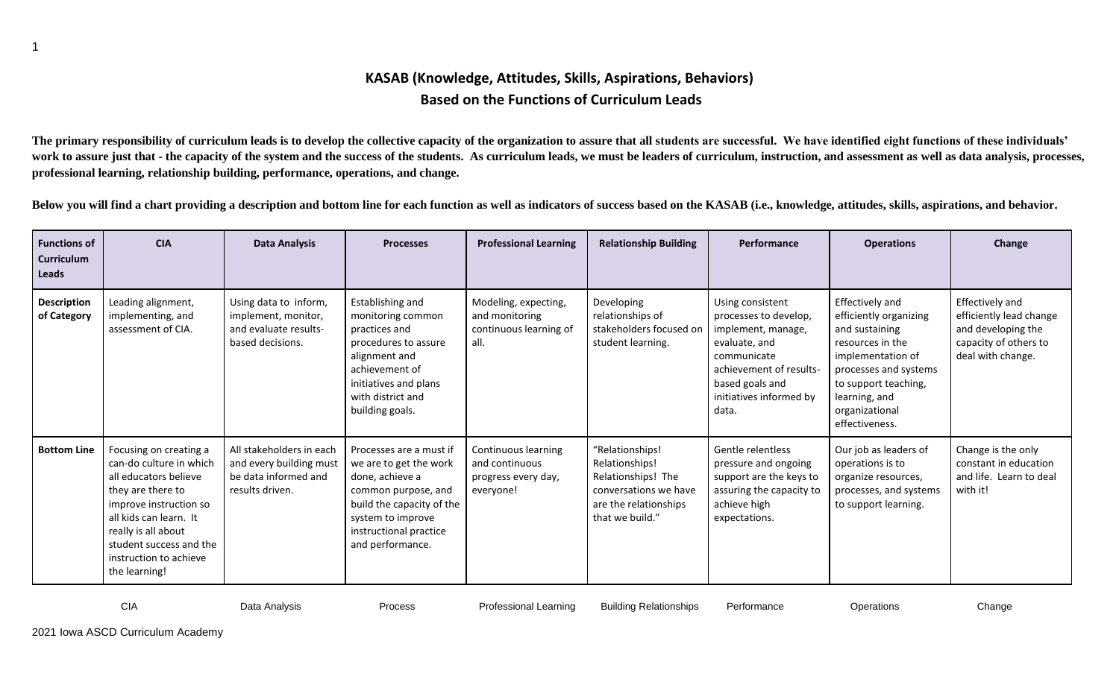## **KASAB (Knowledge, Attitudes, Skills, Aspirations, Behaviors) Based on the Functions of Curriculum Leads**

**The primary responsibility of curriculum leads is to develop the collective capacity of the organization to assure that all students are successful. We have identified eight functions of these individuals'**  work to assure just that - the capacity of the system and the success of the students. As curriculum leads, we must be leaders of curriculum, instruction, and assessment as well as data analysis, processes, **professional learning, relationship building, performance, operations, and change.** 

**Below you will find a chart providing a description and bottom line for each function as well as indicators of success based on the KASAB (i.e., knowledge, attitudes, skills, aspirations, and behavior.**

| <b>Functions of</b><br>Curriculum<br>Leads | <b>CIA</b>                                                                                                                                                                                                                                       | <b>Data Analysis</b>                                                                           | <b>Processes</b>                                                                                                                                                                            | <b>Professional Learning</b>                                              | <b>Relationship Building</b>                                                                                                 | Performance                                                                                                                                                                       | <b>Operations</b>                                                                                                                                                                                          | Change                                                                                                         |
|--------------------------------------------|--------------------------------------------------------------------------------------------------------------------------------------------------------------------------------------------------------------------------------------------------|------------------------------------------------------------------------------------------------|---------------------------------------------------------------------------------------------------------------------------------------------------------------------------------------------|---------------------------------------------------------------------------|------------------------------------------------------------------------------------------------------------------------------|-----------------------------------------------------------------------------------------------------------------------------------------------------------------------------------|------------------------------------------------------------------------------------------------------------------------------------------------------------------------------------------------------------|----------------------------------------------------------------------------------------------------------------|
| <b>Description</b><br>of Category          | Leading alignment,<br>implementing, and<br>assessment of CIA.                                                                                                                                                                                    | Using data to inform,<br>implement, monitor,<br>and evaluate results-<br>based decisions.      | Establishing and<br>monitoring common<br>practices and<br>procedures to assure<br>alignment and<br>achievement of<br>initiatives and plans<br>with district and<br>building goals.          | Modeling, expecting,<br>and monitoring<br>continuous learning of<br>all.  | Developing<br>relationships of<br>stakeholders focused on<br>student learning.                                               | Using consistent<br>processes to develop,<br>implement, manage,<br>evaluate, and<br>communicate<br>achievement of results-<br>based goals and<br>initiatives informed by<br>data. | Effectively and<br>efficiently organizing<br>and sustaining<br>resources in the<br>implementation of<br>processes and systems<br>to support teaching,<br>learning, and<br>organizational<br>effectiveness. | Effectively and<br>efficiently lead change<br>and developing the<br>capacity of others to<br>deal with change. |
| <b>Bottom Line</b>                         | Focusing on creating a<br>can-do culture in which<br>all educators believe<br>they are there to<br>improve instruction so<br>all kids can learn. It<br>really is all about<br>student success and the<br>instruction to achieve<br>the learning! | All stakeholders in each<br>and every building must<br>be data informed and<br>results driven. | Processes are a must if<br>we are to get the work<br>done, achieve a<br>common purpose, and<br>build the capacity of the<br>system to improve<br>instructional practice<br>and performance. | Continuous learning<br>and continuous<br>progress every day,<br>everyone! | "Relationships!<br>Relationships!<br>Relationships! The<br>conversations we have<br>are the relationships<br>that we build." | Gentle relentless<br>pressure and ongoing<br>support are the keys to<br>assuring the capacity to<br>achieve high<br>expectations.                                                 | Our job as leaders of<br>operations is to<br>organize resources,<br>processes, and systems<br>to support learning.                                                                                         | Change is the only<br>constant in education<br>and life. Learn to deal<br>with it!                             |

1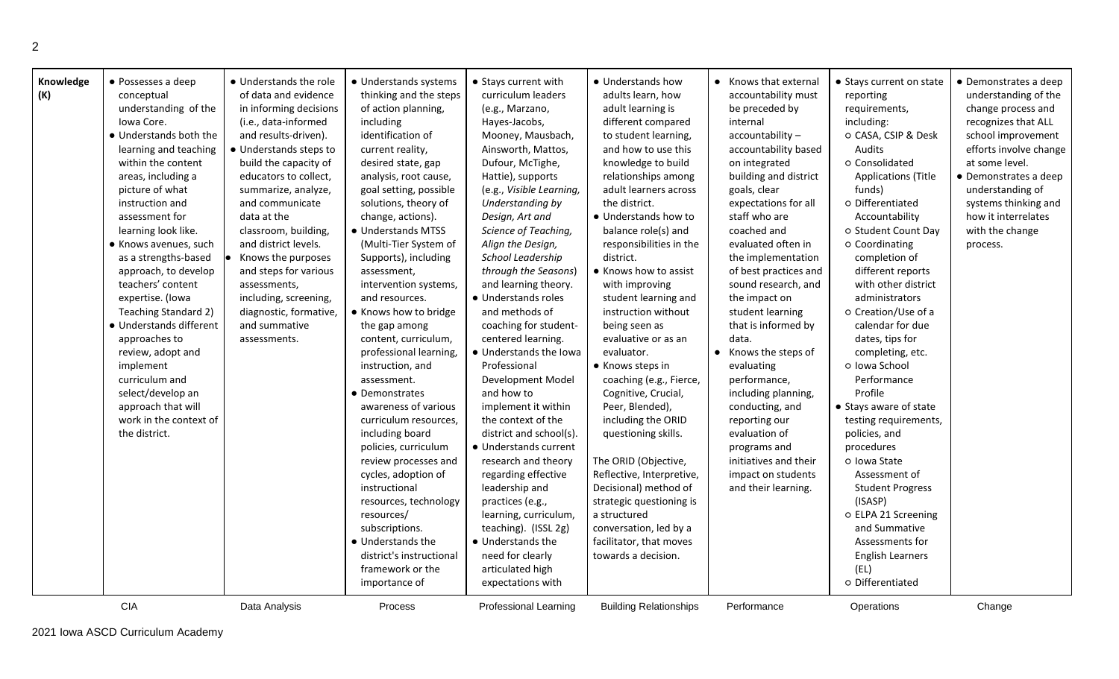| Knowledge<br>• Possesses a deep<br>(K)<br>conceptual<br>understanding of the<br>Iowa Core.<br>• Understands both the<br>learning and teaching<br>within the content<br>areas, including a<br>picture of what<br>instruction and<br>assessment for<br>learning look like.<br>• Knows avenues, such<br>as a strengths-based<br>approach, to develop<br>teachers' content<br>expertise. (Iowa<br>Teaching Standard 2)<br>· Understands different | • Understands the role<br>of data and evidence<br>in informing decisions<br>(i.e., data-informed<br>and results-driven).<br>• Understands steps to<br>build the capacity of<br>educators to collect,<br>summarize, analyze,<br>and communicate<br>data at the<br>classroom, building,<br>and district levels.<br>Knows the purposes<br>and steps for various<br>assessments,<br>including, screening,<br>diagnostic, formative,<br>and summative | • Understands systems<br>thinking and the steps<br>of action planning,<br>including<br>identification of<br>current reality,<br>desired state, gap<br>analysis, root cause,<br>goal setting, possible<br>solutions, theory of<br>change, actions).<br>• Understands MTSS<br>(Multi-Tier System of<br>Supports), including<br>assessment,<br>intervention systems,<br>and resources.<br>• Knows how to bridge<br>the gap among    | • Stays current with<br>curriculum leaders<br>(e.g., Marzano,<br>Hayes-Jacobs,<br>Mooney, Mausbach,<br>Ainsworth, Mattos,<br>Dufour, McTighe,<br>Hattie), supports<br>(e.g., Visible Learning,<br>Understanding by<br>Design, Art and<br>Science of Teaching,<br>Align the Design,<br>School Leadership<br>through the Seasons)<br>and learning theory.<br>• Understands roles<br>and methods of<br>coaching for student-                               | • Understands how<br>adults learn, how<br>adult learning is<br>different compared<br>to student learning,<br>and how to use this<br>knowledge to build<br>relationships among<br>adult learners across<br>the district.<br>• Understands how to<br>balance role(s) and<br>responsibilities in the<br>district.<br>• Knows how to assist<br>with improving<br>student learning and<br>instruction without<br>being seen as | • Knows that external<br>accountability must<br>be preceded by<br>internal<br>accountability-<br>accountability based<br>on integrated<br>building and district<br>goals, clear<br>expectations for all<br>staff who are<br>coached and<br>evaluated often in<br>the implementation<br>of best practices and<br>sound research, and<br>the impact on<br>student learning<br>that is informed by | • Stays current on state<br>reporting<br>requirements,<br>including:<br>o CASA, CSIP & Desk<br>Audits<br>o Consolidated<br><b>Applications (Title</b><br>funds)<br>o Differentiated<br>Accountability<br>o Student Count Day<br>o Coordinating<br>completion of<br>different reports<br>with other district<br>administrators<br>o Creation/Use of a<br>calendar for due | • Demonstrates a deep<br>understanding of the<br>change process and<br>recognizes that ALL<br>school improvement<br>efforts involve change<br>at some level.<br>• Demonstrates a deep<br>understanding of<br>systems thinking and<br>how it interrelates<br>with the change<br>process. |
|-----------------------------------------------------------------------------------------------------------------------------------------------------------------------------------------------------------------------------------------------------------------------------------------------------------------------------------------------------------------------------------------------------------------------------------------------|--------------------------------------------------------------------------------------------------------------------------------------------------------------------------------------------------------------------------------------------------------------------------------------------------------------------------------------------------------------------------------------------------------------------------------------------------|----------------------------------------------------------------------------------------------------------------------------------------------------------------------------------------------------------------------------------------------------------------------------------------------------------------------------------------------------------------------------------------------------------------------------------|---------------------------------------------------------------------------------------------------------------------------------------------------------------------------------------------------------------------------------------------------------------------------------------------------------------------------------------------------------------------------------------------------------------------------------------------------------|---------------------------------------------------------------------------------------------------------------------------------------------------------------------------------------------------------------------------------------------------------------------------------------------------------------------------------------------------------------------------------------------------------------------------|-------------------------------------------------------------------------------------------------------------------------------------------------------------------------------------------------------------------------------------------------------------------------------------------------------------------------------------------------------------------------------------------------|--------------------------------------------------------------------------------------------------------------------------------------------------------------------------------------------------------------------------------------------------------------------------------------------------------------------------------------------------------------------------|-----------------------------------------------------------------------------------------------------------------------------------------------------------------------------------------------------------------------------------------------------------------------------------------|
| approaches to<br>review, adopt and<br>implement<br>curriculum and<br>select/develop an<br>approach that will<br>work in the context of<br>the district.<br><b>CIA</b>                                                                                                                                                                                                                                                                         | assessments.<br>Data Analysis                                                                                                                                                                                                                                                                                                                                                                                                                    | content, curriculum,<br>professional learning,<br>instruction, and<br>assessment.<br>• Demonstrates<br>awareness of various<br>curriculum resources,<br>including board<br>policies, curriculum<br>review processes and<br>cycles, adoption of<br>instructional<br>resources, technology<br>resources/<br>subscriptions.<br>• Understands the<br>district's instructional<br>framework or the<br>importance of<br><b>Process</b> | centered learning.<br>• Understands the Iowa<br>Professional<br>Development Model<br>and how to<br>implement it within<br>the context of the<br>district and school(s).<br>· Understands current<br>research and theory<br>regarding effective<br>leadership and<br>practices (e.g.,<br>learning, curriculum,<br>teaching). (ISSL 2g)<br>• Understands the<br>need for clearly<br>articulated high<br>expectations with<br><b>Professional Learning</b> | evaluative or as an<br>evaluator.<br>• Knows steps in<br>coaching (e.g., Fierce,<br>Cognitive, Crucial,<br>Peer, Blended),<br>including the ORID<br>questioning skills.<br>The ORID (Objective,<br>Reflective, Interpretive,<br>Decisional) method of<br>strategic questioning is<br>a structured<br>conversation, led by a<br>facilitator, that moves<br>towards a decision.<br><b>Building Relationships</b>            | data.<br>• Knows the steps of<br>evaluating<br>performance,<br>including planning,<br>conducting, and<br>reporting our<br>evaluation of<br>programs and<br>initiatives and their<br>impact on students<br>and their learning.<br>Performance                                                                                                                                                    | dates, tips for<br>completing, etc.<br>o Iowa School<br>Performance<br>Profile<br>• Stays aware of state<br>testing requirements,<br>policies, and<br>procedures<br>o Iowa State<br>Assessment of<br><b>Student Progress</b><br>(ISASP)<br>o ELPA 21 Screening<br>and Summative<br>Assessments for<br><b>English Learners</b><br>(EL)<br>o Differentiated<br>Operations  | Change                                                                                                                                                                                                                                                                                  |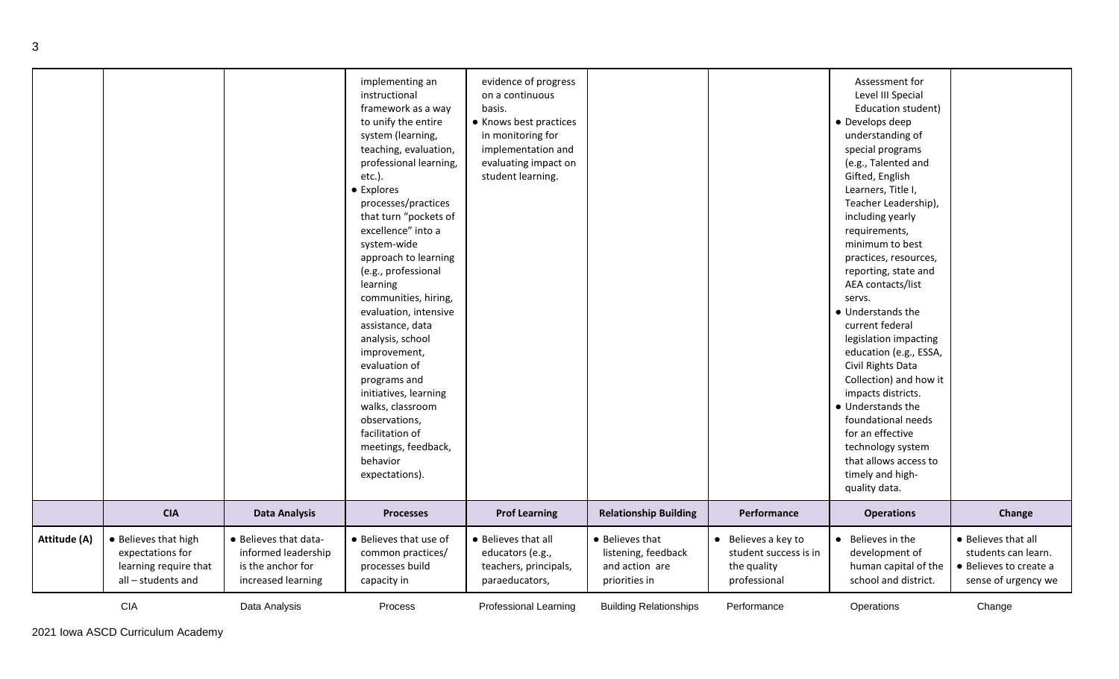|              |                                                                                         |                                                                                         | implementing an<br>instructional<br>framework as a way<br>to unify the entire<br>system (learning,<br>teaching, evaluation,<br>professional learning,<br>etc.).<br>• Explores<br>processes/practices<br>that turn "pockets of<br>excellence" into a<br>system-wide<br>approach to learning<br>(e.g., professional<br>learning<br>communities, hiring,<br>evaluation, intensive<br>assistance, data<br>analysis, school<br>improvement,<br>evaluation of<br>programs and<br>initiatives, learning<br>walks, classroom<br>observations,<br>facilitation of<br>meetings, feedback,<br>behavior | evidence of progress<br>on a continuous<br>basis.<br>• Knows best practices<br>in monitoring for<br>implementation and<br>evaluating impact on<br>student learning. |                                                                           |                                                                             | Assessment for<br>Level III Special<br>Education student)<br>• Develops deep<br>understanding of<br>special programs<br>(e.g., Talented and<br>Gifted, English<br>Learners, Title I,<br>Teacher Leadership),<br>including yearly<br>requirements,<br>minimum to best<br>practices, resources,<br>reporting, state and<br>AEA contacts/list<br>servs.<br>• Understands the<br>current federal<br>legislation impacting<br>education (e.g., ESSA,<br>Civil Rights Data<br>Collection) and how it<br>impacts districts.<br>• Understands the<br>foundational needs<br>for an effective<br>technology system<br>that allows access to |                                                                                             |
|--------------|-----------------------------------------------------------------------------------------|-----------------------------------------------------------------------------------------|---------------------------------------------------------------------------------------------------------------------------------------------------------------------------------------------------------------------------------------------------------------------------------------------------------------------------------------------------------------------------------------------------------------------------------------------------------------------------------------------------------------------------------------------------------------------------------------------|---------------------------------------------------------------------------------------------------------------------------------------------------------------------|---------------------------------------------------------------------------|-----------------------------------------------------------------------------|-----------------------------------------------------------------------------------------------------------------------------------------------------------------------------------------------------------------------------------------------------------------------------------------------------------------------------------------------------------------------------------------------------------------------------------------------------------------------------------------------------------------------------------------------------------------------------------------------------------------------------------|---------------------------------------------------------------------------------------------|
|              |                                                                                         |                                                                                         | expectations).                                                                                                                                                                                                                                                                                                                                                                                                                                                                                                                                                                              |                                                                                                                                                                     |                                                                           |                                                                             | timely and high-<br>quality data.                                                                                                                                                                                                                                                                                                                                                                                                                                                                                                                                                                                                 |                                                                                             |
|              | <b>CIA</b>                                                                              | <b>Data Analysis</b>                                                                    | <b>Processes</b>                                                                                                                                                                                                                                                                                                                                                                                                                                                                                                                                                                            | <b>Prof Learning</b>                                                                                                                                                | <b>Relationship Building</b>                                              | Performance                                                                 | <b>Operations</b>                                                                                                                                                                                                                                                                                                                                                                                                                                                                                                                                                                                                                 | Change                                                                                      |
| Attitude (A) | • Believes that high<br>expectations for<br>learning require that<br>all - students and | • Believes that data-<br>informed leadership<br>is the anchor for<br>increased learning | • Believes that use of<br>common practices/<br>processes build<br>capacity in                                                                                                                                                                                                                                                                                                                                                                                                                                                                                                               | • Believes that all<br>educators (e.g.,<br>teachers, principals,<br>paraeducators,                                                                                  | • Believes that<br>listening, feedback<br>and action are<br>priorities in | • Believes a key to<br>student success is in<br>the quality<br>professional | Believes in the<br>$\bullet$<br>development of<br>human capital of the<br>school and district.                                                                                                                                                                                                                                                                                                                                                                                                                                                                                                                                    | • Believes that all<br>students can learn.<br>• Believes to create a<br>sense of urgency we |
|              | <b>CIA</b>                                                                              | Data Analysis                                                                           | Process                                                                                                                                                                                                                                                                                                                                                                                                                                                                                                                                                                                     | <b>Professional Learning</b>                                                                                                                                        | <b>Building Relationships</b>                                             | Performance                                                                 | Operations                                                                                                                                                                                                                                                                                                                                                                                                                                                                                                                                                                                                                        | Change                                                                                      |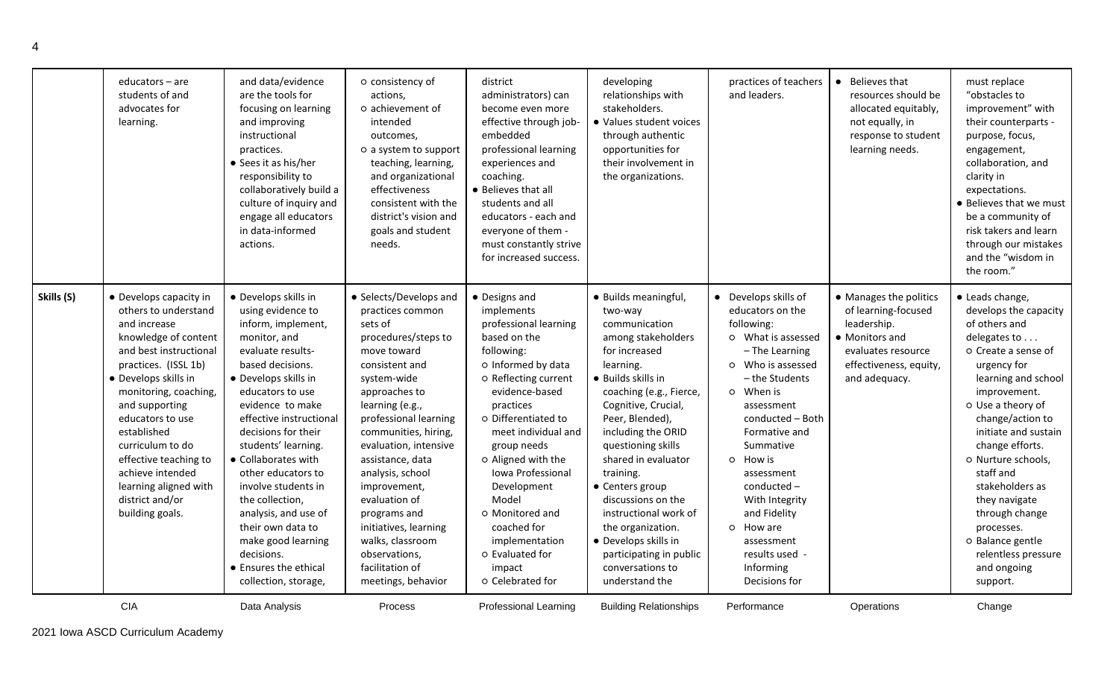|            | educators - are<br>students of and<br>advocates for<br>learning.                                                                                                                                                                                                                                                                                                               | and data/evidence<br>are the tools for<br>focusing on learning<br>and improving<br>instructional<br>practices.<br>• Sees it as his/her<br>responsibility to<br>collaboratively build a<br>culture of inquiry and<br>engage all educators<br>in data-informed<br>actions.                                                                                                                                                                                                                   | o consistency of<br>actions,<br>o achievement of<br>intended<br>outcomes,<br>o a system to support<br>teaching, learning,<br>and organizational<br>effectiveness<br>consistent with the<br>district's vision and<br>goals and student<br>needs.                                                                                                                                                                                            | district<br>administrators) can<br>become even more<br>effective through job-<br>embedded<br>professional learning<br>experiences and<br>coaching.<br>• Believes that all<br>students and all<br>educators - each and<br>everyone of them -<br>must constantly strive<br>for increased success.                                                                                                      | developing<br>relationships with<br>stakeholders.<br>· Values student voices<br>through authentic<br>opportunities for<br>their involvement in<br>the organizations.                                                                                                                                                                                                                                                                                            | practices of teachers<br>and leaders.                                                                                                                                                                                                                                                                                                                                      | Believes that<br>resources should be<br>allocated equitably,<br>not equally, in<br>response to student<br>learning needs.                       | must replace<br>"obstacles to<br>improvement" with<br>their counterparts -<br>purpose, focus,<br>engagement,<br>collaboration, and<br>clarity in<br>expectations.<br>• Believes that we must<br>be a community of<br>risk takers and learn<br>through our mistakes<br>and the "wisdom in<br>the room."                                                                                                                  |
|------------|--------------------------------------------------------------------------------------------------------------------------------------------------------------------------------------------------------------------------------------------------------------------------------------------------------------------------------------------------------------------------------|--------------------------------------------------------------------------------------------------------------------------------------------------------------------------------------------------------------------------------------------------------------------------------------------------------------------------------------------------------------------------------------------------------------------------------------------------------------------------------------------|--------------------------------------------------------------------------------------------------------------------------------------------------------------------------------------------------------------------------------------------------------------------------------------------------------------------------------------------------------------------------------------------------------------------------------------------|------------------------------------------------------------------------------------------------------------------------------------------------------------------------------------------------------------------------------------------------------------------------------------------------------------------------------------------------------------------------------------------------------|-----------------------------------------------------------------------------------------------------------------------------------------------------------------------------------------------------------------------------------------------------------------------------------------------------------------------------------------------------------------------------------------------------------------------------------------------------------------|----------------------------------------------------------------------------------------------------------------------------------------------------------------------------------------------------------------------------------------------------------------------------------------------------------------------------------------------------------------------------|-------------------------------------------------------------------------------------------------------------------------------------------------|-------------------------------------------------------------------------------------------------------------------------------------------------------------------------------------------------------------------------------------------------------------------------------------------------------------------------------------------------------------------------------------------------------------------------|
| Skills (S) | • Develops capacity in<br>others to understand<br>and increase<br>knowledge of content<br>and best instructional<br>practices. (ISSL 1b)<br>• Develops skills in<br>monitoring, coaching,<br>and supporting<br>educators to use<br>established<br>curriculum to do<br>effective teaching to<br>achieve intended<br>learning aligned with<br>district and/or<br>building goals. | • Develops skills in<br>using evidence to<br>inform, implement,<br>monitor, and<br>evaluate results-<br>based decisions.<br>• Develops skills in<br>educators to use<br>evidence to make<br>effective instructional<br>decisions for their<br>students' learning.<br>• Collaborates with<br>other educators to<br>involve students in<br>the collection,<br>analysis, and use of<br>their own data to<br>make good learning<br>decisions.<br>• Ensures the ethical<br>collection, storage, | • Selects/Develops and<br>practices common<br>sets of<br>procedures/steps to<br>move toward<br>consistent and<br>system-wide<br>approaches to<br>learning (e.g.,<br>professional learning<br>communities, hiring,<br>evaluation, intensive<br>assistance, data<br>analysis, school<br>improvement,<br>evaluation of<br>programs and<br>initiatives, learning<br>walks, classroom<br>observations,<br>facilitation of<br>meetings, behavior | • Designs and<br>implements<br>professional learning<br>based on the<br>following:<br>o Informed by data<br>o Reflecting current<br>evidence-based<br>practices<br>o Differentiated to<br>meet individual and<br>group needs<br>o Aligned with the<br>Iowa Professional<br>Development<br>Model<br>o Monitored and<br>coached for<br>implementation<br>o Evaluated for<br>impact<br>o Celebrated for | · Builds meaningful,<br>two-way<br>communication<br>among stakeholders<br>for increased<br>learning.<br>· Builds skills in<br>coaching (e.g., Fierce,<br>Cognitive, Crucial,<br>Peer, Blended),<br>including the ORID<br>questioning skills<br>shared in evaluator<br>training.<br>• Centers group<br>discussions on the<br>instructional work of<br>the organization.<br>· Develops skills in<br>participating in public<br>conversations to<br>understand the | • Develops skills of<br>educators on the<br>following:<br>o What is assessed<br>- The Learning<br>o Who is assessed<br>- the Students<br>o When is<br>assessment<br>conducted - Both<br>Formative and<br>Summative<br>o How is<br>assessment<br>$conducted -$<br>With Integrity<br>and Fidelity<br>o How are<br>assessment<br>results used -<br>Informing<br>Decisions for | • Manages the politics<br>of learning-focused<br>leadership.<br>• Monitors and<br>evaluates resource<br>effectiveness, equity,<br>and adequacy. | • Leads change,<br>develops the capacity<br>of others and<br>delegates to<br>o Create a sense of<br>urgency for<br>learning and school<br>improvement.<br>o Use a theory of<br>change/action to<br>initiate and sustain<br>change efforts.<br>o Nurture schools,<br>staff and<br>stakeholders as<br>they navigate<br>through change<br>processes.<br>o Balance gentle<br>relentless pressure<br>and ongoing<br>support. |
|            | <b>CIA</b>                                                                                                                                                                                                                                                                                                                                                                     | Data Analysis                                                                                                                                                                                                                                                                                                                                                                                                                                                                              | <b>Process</b>                                                                                                                                                                                                                                                                                                                                                                                                                             | Professional Learning                                                                                                                                                                                                                                                                                                                                                                                | <b>Building Relationships</b>                                                                                                                                                                                                                                                                                                                                                                                                                                   | Performance                                                                                                                                                                                                                                                                                                                                                                | Operations                                                                                                                                      | Change                                                                                                                                                                                                                                                                                                                                                                                                                  |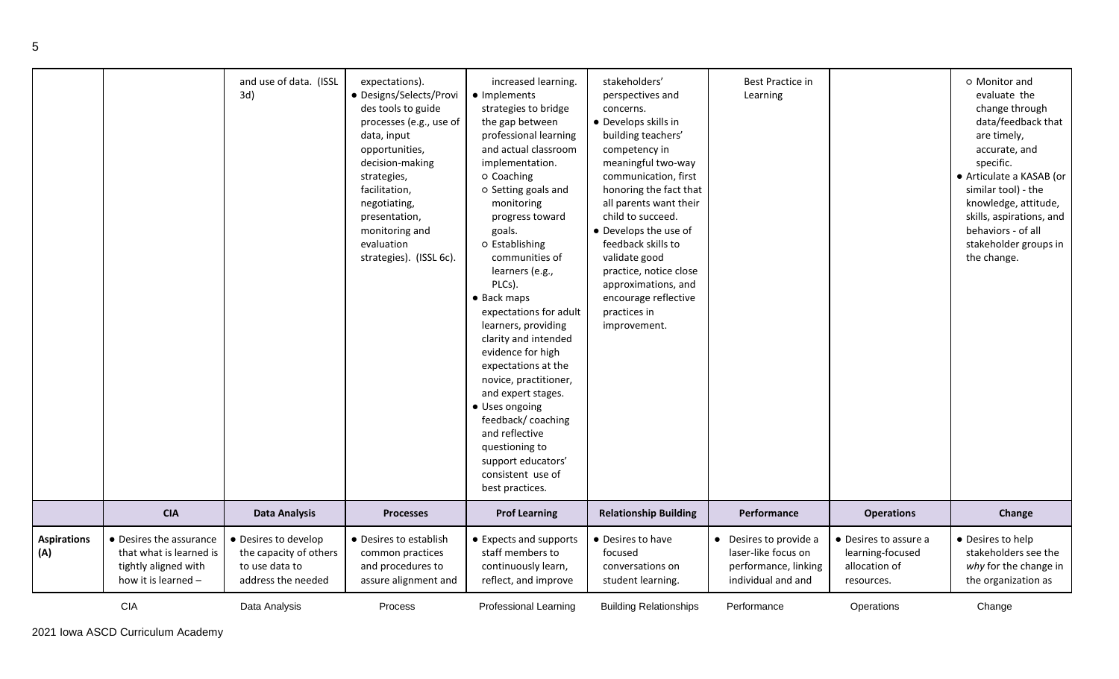|                           |                                                                                                   | and use of data. (ISSL<br>3d)                                                          | expectations).<br>· Designs/Selects/Provi<br>des tools to guide<br>processes (e.g., use of<br>data, input<br>opportunities,<br>decision-making<br>strategies,<br>facilitation,<br>negotiating,<br>presentation,<br>monitoring and<br>evaluation<br>strategies). (ISSL 6c). | increased learning.<br>• Implements<br>strategies to bridge<br>the gap between<br>professional learning<br>and actual classroom<br>implementation.<br>o Coaching<br>o Setting goals and<br>monitoring<br>progress toward<br>goals.<br>o Establishing<br>communities of<br>learners (e.g.,<br>PLCs).<br>• Back maps<br>expectations for adult<br>learners, providing<br>clarity and intended<br>evidence for high<br>expectations at the<br>novice, practitioner,<br>and expert stages.<br>• Uses ongoing<br>feedback/coaching<br>and reflective<br>questioning to<br>support educators'<br>consistent use of<br>best practices. | stakeholders'<br>perspectives and<br>concerns.<br>· Develops skills in<br>building teachers'<br>competency in<br>meaningful two-way<br>communication, first<br>honoring the fact that<br>all parents want their<br>child to succeed.<br>• Develops the use of<br>feedback skills to<br>validate good<br>practice, notice close<br>approximations, and<br>encourage reflective<br>practices in<br>improvement. | <b>Best Practice in</b><br>Learning                                                         |                                                                          | O Monitor and<br>evaluate the<br>change through<br>data/feedback that<br>are timely,<br>accurate, and<br>specific.<br>• Articulate a KASAB (or<br>similar tool) - the<br>knowledge, attitude,<br>skills, aspirations, and<br>behaviors - of all<br>stakeholder groups in<br>the change. |
|---------------------------|---------------------------------------------------------------------------------------------------|----------------------------------------------------------------------------------------|----------------------------------------------------------------------------------------------------------------------------------------------------------------------------------------------------------------------------------------------------------------------------|---------------------------------------------------------------------------------------------------------------------------------------------------------------------------------------------------------------------------------------------------------------------------------------------------------------------------------------------------------------------------------------------------------------------------------------------------------------------------------------------------------------------------------------------------------------------------------------------------------------------------------|---------------------------------------------------------------------------------------------------------------------------------------------------------------------------------------------------------------------------------------------------------------------------------------------------------------------------------------------------------------------------------------------------------------|---------------------------------------------------------------------------------------------|--------------------------------------------------------------------------|-----------------------------------------------------------------------------------------------------------------------------------------------------------------------------------------------------------------------------------------------------------------------------------------|
|                           | <b>CIA</b>                                                                                        | <b>Data Analysis</b>                                                                   | <b>Processes</b>                                                                                                                                                                                                                                                           | <b>Prof Learning</b>                                                                                                                                                                                                                                                                                                                                                                                                                                                                                                                                                                                                            | <b>Relationship Building</b>                                                                                                                                                                                                                                                                                                                                                                                  | Performance                                                                                 | <b>Operations</b>                                                        | Change                                                                                                                                                                                                                                                                                  |
| <b>Aspirations</b><br>(A) | • Desires the assurance<br>that what is learned is<br>tightly aligned with<br>how it is learned - | • Desires to develop<br>the capacity of others<br>to use data to<br>address the needed | • Desires to establish<br>common practices<br>and procedures to<br>assure alignment and                                                                                                                                                                                    | • Expects and supports<br>staff members to<br>continuously learn,<br>reflect, and improve                                                                                                                                                                                                                                                                                                                                                                                                                                                                                                                                       | • Desires to have<br>focused<br>conversations on<br>student learning.                                                                                                                                                                                                                                                                                                                                         | • Desires to provide a<br>laser-like focus on<br>performance, linking<br>individual and and | • Desires to assure a<br>learning-focused<br>allocation of<br>resources. | • Desires to help<br>stakeholders see the<br>why for the change in<br>the organization as                                                                                                                                                                                               |
|                           | <b>CIA</b>                                                                                        | Data Analysis                                                                          | <b>Process</b>                                                                                                                                                                                                                                                             | Professional Learning                                                                                                                                                                                                                                                                                                                                                                                                                                                                                                                                                                                                           | <b>Building Relationships</b>                                                                                                                                                                                                                                                                                                                                                                                 | Performance                                                                                 | Operations                                                               | Change                                                                                                                                                                                                                                                                                  |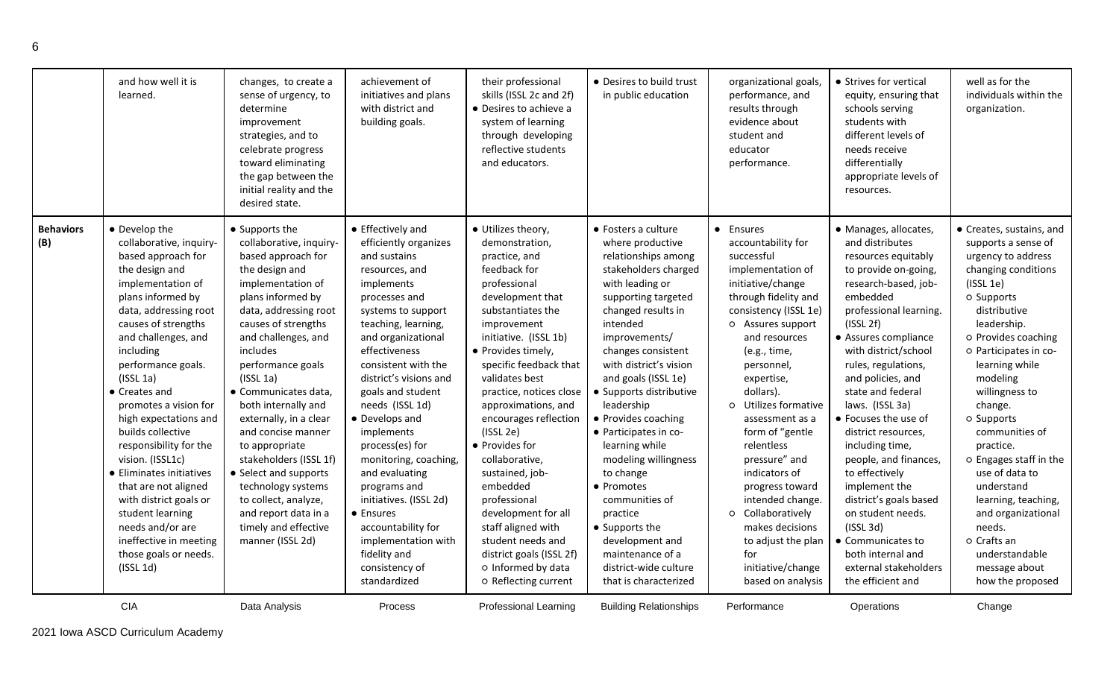|                         | and how well it is<br>learned.                                                                                                                                                                                                                                                                                                                                                                                                                                                                                                                                                            | changes, to create a<br>sense of urgency, to<br>determine<br>improvement<br>strategies, and to<br>celebrate progress<br>toward eliminating<br>the gap between the<br>initial reality and the<br>desired state.                                                                                                                                                                                                                                                                                                                                      | achievement of<br>initiatives and plans<br>with district and<br>building goals.                                                                                                                                                                                                                                                                                                                                                                                                                                                              | their professional<br>skills (ISSL 2c and 2f)<br>• Desires to achieve a<br>system of learning<br>through developing<br>reflective students<br>and educators.                                                                                                                                                                                                                                                                                                                                                                                                          | • Desires to build trust<br>in public education                                                                                                                                                                                                                                                                                                                                                                                                                                                                                                                   | organizational goals,<br>performance, and<br>results through<br>evidence about<br>student and<br>educator<br>performance.                                                                                                                                                                                                                                                                                                                                                                                   | • Strives for vertical<br>equity, ensuring that<br>schools serving<br>students with<br>different levels of<br>needs receive<br>differentially<br>appropriate levels of<br>resources.                                                                                                                                                                                                                                                                                                                                                                                                     | well as for the<br>individuals within the<br>organization.                                                                                                                                                                                                                                                                                                                                                                                                                                            |
|-------------------------|-------------------------------------------------------------------------------------------------------------------------------------------------------------------------------------------------------------------------------------------------------------------------------------------------------------------------------------------------------------------------------------------------------------------------------------------------------------------------------------------------------------------------------------------------------------------------------------------|-----------------------------------------------------------------------------------------------------------------------------------------------------------------------------------------------------------------------------------------------------------------------------------------------------------------------------------------------------------------------------------------------------------------------------------------------------------------------------------------------------------------------------------------------------|----------------------------------------------------------------------------------------------------------------------------------------------------------------------------------------------------------------------------------------------------------------------------------------------------------------------------------------------------------------------------------------------------------------------------------------------------------------------------------------------------------------------------------------------|-----------------------------------------------------------------------------------------------------------------------------------------------------------------------------------------------------------------------------------------------------------------------------------------------------------------------------------------------------------------------------------------------------------------------------------------------------------------------------------------------------------------------------------------------------------------------|-------------------------------------------------------------------------------------------------------------------------------------------------------------------------------------------------------------------------------------------------------------------------------------------------------------------------------------------------------------------------------------------------------------------------------------------------------------------------------------------------------------------------------------------------------------------|-------------------------------------------------------------------------------------------------------------------------------------------------------------------------------------------------------------------------------------------------------------------------------------------------------------------------------------------------------------------------------------------------------------------------------------------------------------------------------------------------------------|------------------------------------------------------------------------------------------------------------------------------------------------------------------------------------------------------------------------------------------------------------------------------------------------------------------------------------------------------------------------------------------------------------------------------------------------------------------------------------------------------------------------------------------------------------------------------------------|-------------------------------------------------------------------------------------------------------------------------------------------------------------------------------------------------------------------------------------------------------------------------------------------------------------------------------------------------------------------------------------------------------------------------------------------------------------------------------------------------------|
| <b>Behaviors</b><br>(B) | • Develop the<br>collaborative, inquiry-<br>based approach for<br>the design and<br>implementation of<br>plans informed by<br>data, addressing root<br>causes of strengths<br>and challenges, and<br>including<br>performance goals.<br>$($ ISSL 1a $)$<br>• Creates and<br>promotes a vision for<br>high expectations and<br>builds collective<br>responsibility for the<br>vision. (ISSL1c)<br>• Eliminates initiatives<br>that are not aligned<br>with district goals or<br>student learning<br>needs and/or are<br>ineffective in meeting<br>those goals or needs.<br>$($ ISSL 1d $)$ | • Supports the<br>collaborative, inquiry-<br>based approach for<br>the design and<br>implementation of<br>plans informed by<br>data, addressing root<br>causes of strengths<br>and challenges, and<br><i>includes</i><br>performance goals<br>$($ ISSL 1a $)$<br>· Communicates data,<br>both internally and<br>externally, in a clear<br>and concise manner<br>to appropriate<br>stakeholders (ISSL 1f)<br>• Select and supports<br>technology systems<br>to collect, analyze,<br>and report data in a<br>timely and effective<br>manner (ISSL 2d) | • Effectively and<br>efficiently organizes<br>and sustains<br>resources, and<br>implements<br>processes and<br>systems to support<br>teaching, learning,<br>and organizational<br>effectiveness<br>consistent with the<br>district's visions and<br>goals and student<br>needs (ISSL 1d)<br>• Develops and<br>implements<br>process(es) for<br>monitoring, coaching,<br>and evaluating<br>programs and<br>initiatives. (ISSL 2d)<br>• Ensures<br>accountability for<br>implementation with<br>fidelity and<br>consistency of<br>standardized | · Utilizes theory,<br>demonstration,<br>practice, and<br>feedback for<br>professional<br>development that<br>substantiates the<br>improvement<br>initiative. (ISSL 1b)<br>• Provides timely,<br>specific feedback that<br>validates best<br>practice, notices close<br>approximations, and<br>encourages reflection<br>$($ ISSL 2e $)$<br>• Provides for<br>collaborative,<br>sustained, job-<br>embedded<br>professional<br>development for all<br>staff aligned with<br>student needs and<br>district goals (ISSL 2f)<br>o Informed by data<br>o Reflecting current | • Fosters a culture<br>where productive<br>relationships among<br>stakeholders charged<br>with leading or<br>supporting targeted<br>changed results in<br>intended<br>improvements/<br>changes consistent<br>with district's vision<br>and goals (ISSL 1e)<br>• Supports distributive<br>leadership<br>• Provides coaching<br>• Participates in co-<br>learning while<br>modeling willingness<br>to change<br>• Promotes<br>communities of<br>practice<br>• Supports the<br>development and<br>maintenance of a<br>district-wide culture<br>that is characterized | • Ensures<br>accountability for<br>successful<br>implementation of<br>initiative/change<br>through fidelity and<br>consistency (ISSL 1e)<br>o Assures support<br>and resources<br>(e.g., time,<br>personnel,<br>expertise,<br>dollars).<br>o Utilizes formative<br>assessment as a<br>form of "gentle<br>relentless<br>pressure" and<br>indicators of<br>progress toward<br>intended change.<br>o Collaboratively<br>makes decisions<br>to adjust the plan<br>for<br>initiative/change<br>based on analysis | · Manages, allocates,<br>and distributes<br>resources equitably<br>to provide on-going,<br>research-based, job-<br>embedded<br>professional learning.<br>(ISSL 2f)<br>• Assures compliance<br>with district/school<br>rules, regulations,<br>and policies, and<br>state and federal<br>laws. (ISSL 3a)<br>• Focuses the use of<br>district resources,<br>including time,<br>people, and finances,<br>to effectively<br>implement the<br>district's goals based<br>on student needs.<br>(ISSL 3d)<br>• Communicates to<br>both internal and<br>external stakeholders<br>the efficient and | • Creates, sustains, and<br>supports a sense of<br>urgency to address<br>changing conditions<br>(ISSL 1e)<br>o Supports<br>distributive<br>leadership.<br>o Provides coaching<br>o Participates in co-<br>learning while<br>modeling<br>willingness to<br>change.<br>o Supports<br>communities of<br>practice.<br>O Engages staff in the<br>use of data to<br>understand<br>learning, teaching,<br>and organizational<br>needs.<br>o Crafts an<br>understandable<br>message about<br>how the proposed |
|                         | <b>CIA</b>                                                                                                                                                                                                                                                                                                                                                                                                                                                                                                                                                                                | Data Analysis                                                                                                                                                                                                                                                                                                                                                                                                                                                                                                                                       | Process                                                                                                                                                                                                                                                                                                                                                                                                                                                                                                                                      | Professional Learning                                                                                                                                                                                                                                                                                                                                                                                                                                                                                                                                                 | <b>Building Relationships</b>                                                                                                                                                                                                                                                                                                                                                                                                                                                                                                                                     | Performance                                                                                                                                                                                                                                                                                                                                                                                                                                                                                                 | Operations                                                                                                                                                                                                                                                                                                                                                                                                                                                                                                                                                                               | Change                                                                                                                                                                                                                                                                                                                                                                                                                                                                                                |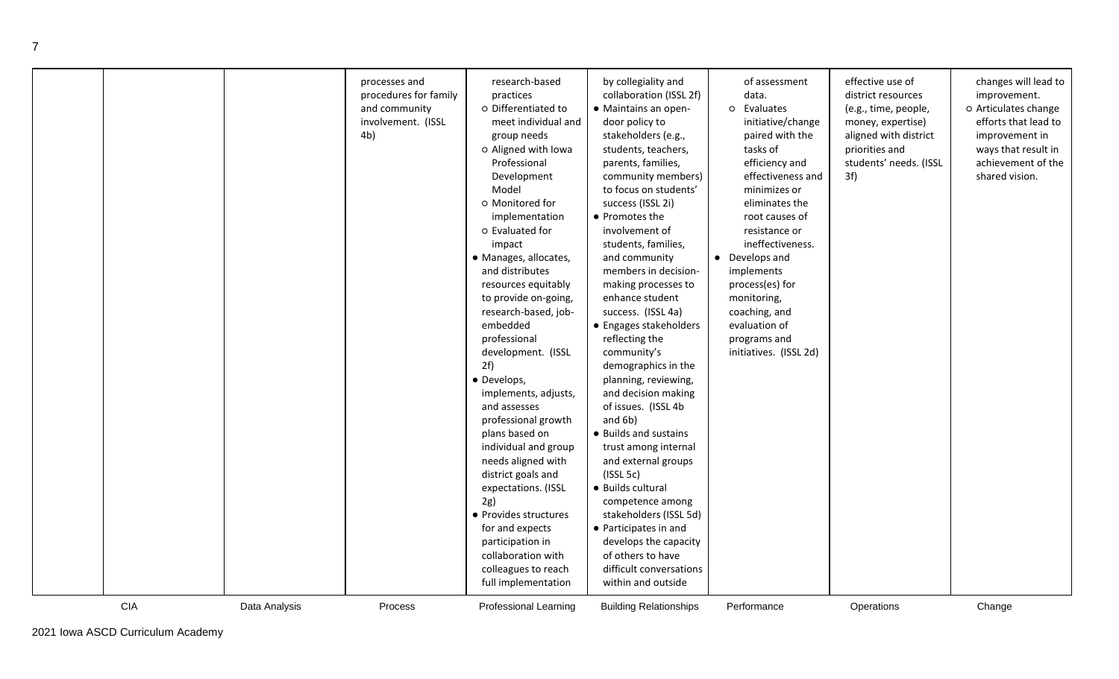|            |               | processes and<br>procedures for family<br>and community<br>involvement. (ISSL<br>4b) | research-based<br>practices<br>o Differentiated to<br>meet individual and<br>group needs<br>o Aligned with Iowa<br>Professional<br>Development<br>Model<br>o Monitored for<br>implementation<br>o Evaluated for<br>impact<br>· Manages, allocates,<br>and distributes<br>resources equitably<br>to provide on-going,<br>research-based, job-<br>embedded<br>professional<br>development. (ISSL<br>2f)<br>· Develops,<br>implements, adjusts,<br>and assesses<br>professional growth<br>plans based on<br>individual and group<br>needs aligned with<br>district goals and<br>expectations. (ISSL<br>2g)<br>• Provides structures<br>for and expects<br>participation in<br>collaboration with<br>colleagues to reach<br>full implementation | by collegiality and<br>collaboration (ISSL 2f)<br>• Maintains an open-<br>door policy to<br>stakeholders (e.g.,<br>students, teachers,<br>parents, families,<br>community members)<br>to focus on students'<br>success (ISSL 2i)<br>• Promotes the<br>involvement of<br>students, families,<br>and community<br>members in decision-<br>making processes to<br>enhance student<br>success. (ISSL 4a)<br>• Engages stakeholders<br>reflecting the<br>community's<br>demographics in the<br>planning, reviewing,<br>and decision making<br>of issues. (ISSL 4b<br>and 6b)<br>• Builds and sustains<br>trust among internal<br>and external groups<br>(ISSL 5c)<br>· Builds cultural<br>competence among<br>stakeholders (ISSL 5d)<br>• Participates in and<br>develops the capacity<br>of others to have<br>difficult conversations<br>within and outside | of assessment<br>data.<br>o Evaluates<br>initiative/change<br>paired with the<br>tasks of<br>efficiency and<br>effectiveness and<br>minimizes or<br>eliminates the<br>root causes of<br>resistance or<br>ineffectiveness.<br>• Develops and<br>implements<br>process(es) for<br>monitoring,<br>coaching, and<br>evaluation of<br>programs and<br>initiatives. (ISSL 2d) | effective use of<br>district resources<br>(e.g., time, people,<br>money, expertise)<br>aligned with district<br>priorities and<br>students' needs. (ISSL<br>3f) | changes will lead to<br>improvement.<br>o Articulates change<br>efforts that lead to<br>improvement in<br>ways that result in<br>achievement of the<br>shared vision. |
|------------|---------------|--------------------------------------------------------------------------------------|---------------------------------------------------------------------------------------------------------------------------------------------------------------------------------------------------------------------------------------------------------------------------------------------------------------------------------------------------------------------------------------------------------------------------------------------------------------------------------------------------------------------------------------------------------------------------------------------------------------------------------------------------------------------------------------------------------------------------------------------|---------------------------------------------------------------------------------------------------------------------------------------------------------------------------------------------------------------------------------------------------------------------------------------------------------------------------------------------------------------------------------------------------------------------------------------------------------------------------------------------------------------------------------------------------------------------------------------------------------------------------------------------------------------------------------------------------------------------------------------------------------------------------------------------------------------------------------------------------------|-------------------------------------------------------------------------------------------------------------------------------------------------------------------------------------------------------------------------------------------------------------------------------------------------------------------------------------------------------------------------|-----------------------------------------------------------------------------------------------------------------------------------------------------------------|-----------------------------------------------------------------------------------------------------------------------------------------------------------------------|
| <b>CIA</b> | Data Analysis | Process                                                                              | <b>Professional Learning</b>                                                                                                                                                                                                                                                                                                                                                                                                                                                                                                                                                                                                                                                                                                                | <b>Building Relationships</b>                                                                                                                                                                                                                                                                                                                                                                                                                                                                                                                                                                                                                                                                                                                                                                                                                           | Performance                                                                                                                                                                                                                                                                                                                                                             | Operations                                                                                                                                                      | Change                                                                                                                                                                |